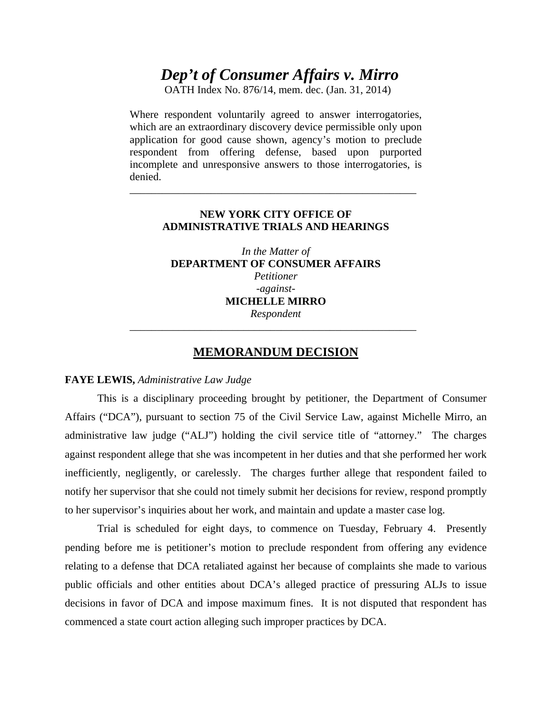# *Dep't of Consumer Affairs v. Mirro*

OATH Index No. 876/14, mem. dec. (Jan. 31, 2014)

Where respondent voluntarily agreed to answer interrogatories, which are an extraordinary discovery device permissible only upon application for good cause shown, agency's motion to preclude respondent from offering defense, based upon purported incomplete and unresponsive answers to those interrogatories, is denied.

### **NEW YORK CITY OFFICE OF ADMINISTRATIVE TRIALS AND HEARINGS**

\_\_\_\_\_\_\_\_\_\_\_\_\_\_\_\_\_\_\_\_\_\_\_\_\_\_\_\_\_\_\_\_\_\_\_\_\_\_\_\_\_\_\_\_\_\_\_\_\_\_\_\_\_

*In the Matter of*  **DEPARTMENT OF CONSUMER AFFAIRS**  *Petitioner -against-***MICHELLE MIRRO**  *Respondent* 

### **MEMORANDUM DECISION**

\_\_\_\_\_\_\_\_\_\_\_\_\_\_\_\_\_\_\_\_\_\_\_\_\_\_\_\_\_\_\_\_\_\_\_\_\_\_\_\_\_\_\_\_\_\_\_\_\_\_\_\_\_

#### **FAYE LEWIS,** *Administrative Law Judge*

This is a disciplinary proceeding brought by petitioner, the Department of Consumer Affairs ("DCA"), pursuant to section 75 of the Civil Service Law, against Michelle Mirro, an administrative law judge ("ALJ") holding the civil service title of "attorney." The charges against respondent allege that she was incompetent in her duties and that she performed her work inefficiently, negligently, or carelessly. The charges further allege that respondent failed to notify her supervisor that she could not timely submit her decisions for review, respond promptly to her supervisor's inquiries about her work, and maintain and update a master case log.

Trial is scheduled for eight days, to commence on Tuesday, February 4. Presently pending before me is petitioner's motion to preclude respondent from offering any evidence relating to a defense that DCA retaliated against her because of complaints she made to various public officials and other entities about DCA's alleged practice of pressuring ALJs to issue decisions in favor of DCA and impose maximum fines. It is not disputed that respondent has commenced a state court action alleging such improper practices by DCA.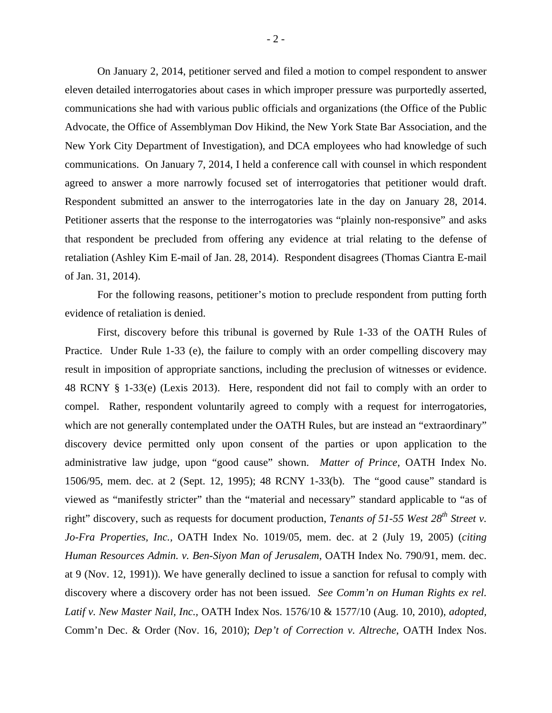On January 2, 2014, petitioner served and filed a motion to compel respondent to answer eleven detailed interrogatories about cases in which improper pressure was purportedly asserted, communications she had with various public officials and organizations (the Office of the Public Advocate, the Office of Assemblyman Dov Hikind, the New York State Bar Association, and the New York City Department of Investigation), and DCA employees who had knowledge of such communications. On January 7, 2014, I held a conference call with counsel in which respondent agreed to answer a more narrowly focused set of interrogatories that petitioner would draft. Respondent submitted an answer to the interrogatories late in the day on January 28, 2014. Petitioner asserts that the response to the interrogatories was "plainly non-responsive" and asks that respondent be precluded from offering any evidence at trial relating to the defense of retaliation (Ashley Kim E-mail of Jan. 28, 2014). Respondent disagrees (Thomas Ciantra E-mail of Jan. 31, 2014).

For the following reasons, petitioner's motion to preclude respondent from putting forth evidence of retaliation is denied.

First, discovery before this tribunal is governed by Rule 1-33 of the OATH Rules of Practice. Under Rule 1-33 (e), the failure to comply with an order compelling discovery may result in imposition of appropriate sanctions, including the preclusion of witnesses or evidence. 48 RCNY § 1-33(e) (Lexis 2013). Here, respondent did not fail to comply with an order to compel. Rather, respondent voluntarily agreed to comply with a request for interrogatories, which are not generally contemplated under the OATH Rules, but are instead an "extraordinary" discovery device permitted only upon consent of the parties or upon application to the administrative law judge, upon "good cause" shown. *Matter of Prince,* OATH Index No. 1506/95, mem. dec. at 2 (Sept. 12, 1995); 48 RCNY 1-33(b). The "good cause" standard is viewed as "manifestly stricter" than the "material and necessary" standard applicable to "as of right" discovery, such as requests for document production, *Tenants of 51-55 West 28th Street v. Jo-Fra Properties, Inc.,* OATH Index No. 1019/05, mem. dec. at 2 (July 19, 2005) (*citing Human Resources Admin. v. Ben-Siyon Man of Jerusalem,* OATH Index No. 790/91, mem. dec. at 9 (Nov. 12, 1991)). We have generally declined to issue a sanction for refusal to comply with discovery where a discovery order has not been issued. *See Comm'n on Human Rights ex rel. Latif v. New Master Nail, Inc.,* OATH Index Nos. 1576/10 & 1577/10 (Aug. 10, 2010), *adopted,*  Comm'n Dec. & Order (Nov. 16, 2010); *Dep't of Correction v. Altreche*, OATH Index Nos.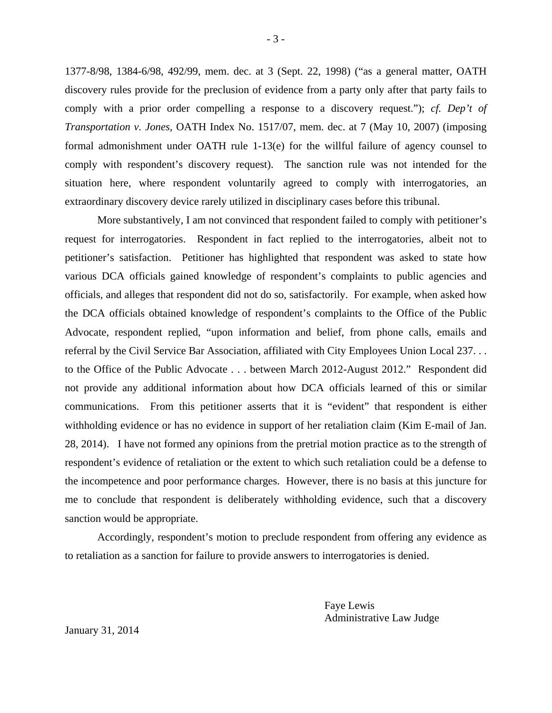1377-8/98, 1384-6/98, 492/99, mem. dec. at 3 (Sept. 22, 1998) ("as a general matter, OATH discovery rules provide for the preclusion of evidence from a party only after that party fails to comply with a prior order compelling a response to a discovery request."); *cf. Dep't of Transportation v. Jones,* OATH Index No. 1517/07, mem. dec. at 7 (May 10, 2007) (imposing formal admonishment under OATH rule 1-13(e) for the willful failure of agency counsel to comply with respondent's discovery request). The sanction rule was not intended for the situation here, where respondent voluntarily agreed to comply with interrogatories, an extraordinary discovery device rarely utilized in disciplinary cases before this tribunal.

More substantively, I am not convinced that respondent failed to comply with petitioner's request for interrogatories. Respondent in fact replied to the interrogatories, albeit not to petitioner's satisfaction. Petitioner has highlighted that respondent was asked to state how various DCA officials gained knowledge of respondent's complaints to public agencies and officials, and alleges that respondent did not do so, satisfactorily. For example, when asked how the DCA officials obtained knowledge of respondent's complaints to the Office of the Public Advocate, respondent replied, "upon information and belief, from phone calls, emails and referral by the Civil Service Bar Association, affiliated with City Employees Union Local 237. . . to the Office of the Public Advocate . . . between March 2012-August 2012." Respondent did not provide any additional information about how DCA officials learned of this or similar communications. From this petitioner asserts that it is "evident" that respondent is either withholding evidence or has no evidence in support of her retaliation claim (Kim E-mail of Jan. 28, 2014). I have not formed any opinions from the pretrial motion practice as to the strength of respondent's evidence of retaliation or the extent to which such retaliation could be a defense to the incompetence and poor performance charges. However, there is no basis at this juncture for me to conclude that respondent is deliberately withholding evidence, such that a discovery sanction would be appropriate.

Accordingly, respondent's motion to preclude respondent from offering any evidence as to retaliation as a sanction for failure to provide answers to interrogatories is denied.

> Faye Lewis Administrative Law Judge

January 31, 2014